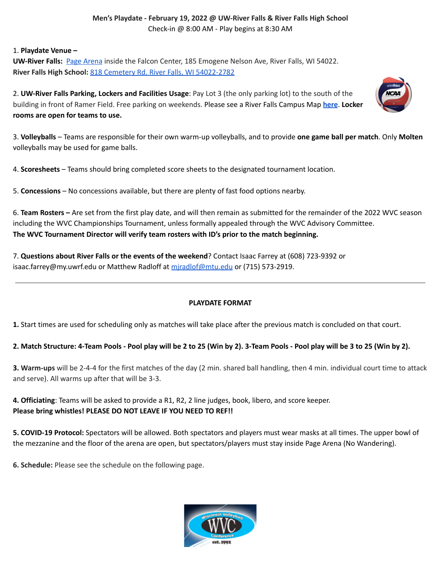### **Men's Playdate - February 19, 2022 @ UW-River Falls & River Falls High School** Check-in @ 8:00 AM - Play begins at 8:30 AM

#### 1. **Playdate Venue –**

**UW-River Falls:** Page [Arena](https://goo.gl/maps/DUnFZ1AWywH2) inside the Falcon Center, 185 Emogene Nelson Ave, River Falls, WI 54022. **River Falls High School:** 818 Cemetery Rd. River Falls, WI [54022-2782](https://maps.google.com/?q=818+Cemetery+Rd%2C+River+Falls+WI+54022)

2. **UW-River Falls Parking, Lockers and Facilities Usage**: Pay Lot 3 (the only parking lot) to the south of the building in front of Ramer Field. Free parking on weekends. Please see a River Falls Campus Map **[here](https://www.uwrf.edu/AboutUs/Explore/)**. **Locker rooms are open for teams to use.**



3. **Volleyballs** – Teams are responsible for their own warm-up volleyballs, and to provide **one game ball per match**. Only **Molten** volleyballs may be used for game balls.

4. **Scoresheets** – Teams should bring completed score sheets to the designated tournament location.

5. **Concessions** – No concessions available, but there are plenty of fast food options nearby.

6. **Team Rosters –** Are set from the first play date, and will then remain as submitted for the remainder of the 2022 WVC season including the WVC Championships Tournament, unless formally appealed through the WVC Advisory Committee. **The WVC Tournament Director will verify team rosters with ID's prior to the match beginning.**

7. **Questions about River Falls or the events of the weekend**? Contact Isaac Farrey at (608) 723-9392 or isaac.farrey@my.uwrf.edu or Matthew Radloff at miradlof@mtu.edu or (715) 573-2919.

### **PLAYDATE FORMAT**

**1.** Start times are used for scheduling only as matches will take place after the previous match is concluded on that court.

## 2. Match Structure: 4-Team Pools - Pool play will be 2 to 25 (Win by 2). 3-Team Pools - Pool play will be 3 to 25 (Win by 2).

**3. Warm-ups** will be 2-4-4 for the first matches of the day (2 min. shared ball handling, then 4 min. individual court time to attack and serve). All warms up after that will be 3-3.

**4. Officiating**: Teams will be asked to provide a R1, R2, 2 line judges, book, libero, and score keeper. **Please bring whistles! PLEASE DO NOT LEAVE IF YOU NEED TO REF!!**

**5. COVID-19 Protocol:** Spectators will be allowed. Both spectators and players must wear masks at all times. The upper bowl of the mezzanine and the floor of the arena are open, but spectators/players must stay inside Page Arena (No Wandering).

**6. Schedule:** Please see the schedule on the following page.